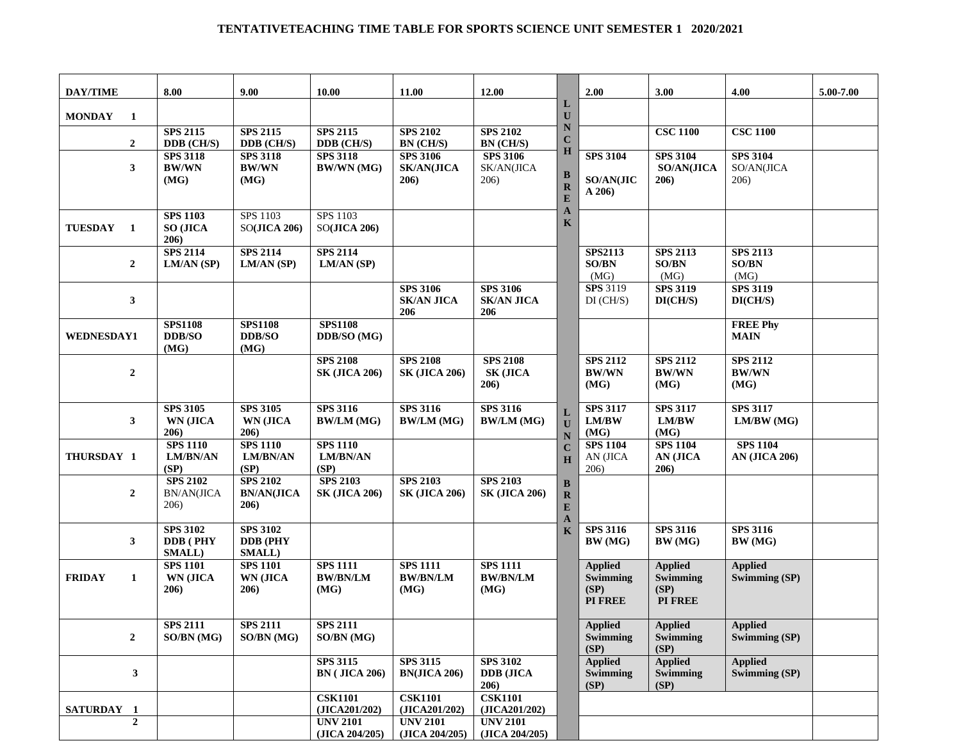## **TENTATIVETEACHING TIME TABLE FOR SPORTS SCIENCE UNIT SEMESTER 1 2020/2021**

| <b>DAY/TIME</b>    | 8.00                                                 | 9.00                                                 | 10.00                                      | 11.00                                        | 12.00                                       |                                       | 2.00                                          | 3.00                                                 | 4.00                                    | 5.00-7.00 |
|--------------------|------------------------------------------------------|------------------------------------------------------|--------------------------------------------|----------------------------------------------|---------------------------------------------|---------------------------------------|-----------------------------------------------|------------------------------------------------------|-----------------------------------------|-----------|
| <b>MONDAY</b><br>1 |                                                      |                                                      |                                            |                                              |                                             | L<br>U                                |                                               |                                                      |                                         |           |
| $\mathbf{2}$       | <b>SPS 2115</b><br>DDB (CH/S)                        | <b>SPS 2115</b><br>DDB (CH/S)                        | <b>SPS 2115</b><br>DDB (CH/S)              | <b>SPS 2102</b><br>BN (CH/S)                 | <b>SPS 2102</b><br>BN (CH/S)                | $\mathbb N$<br>$\mathbf C$            |                                               | <b>CSC 1100</b>                                      | <b>CSC 1100</b>                         |           |
| 3                  | <b>SPS 3118</b><br><b>BW/WN</b><br>(MG)              | <b>SPS 3118</b><br><b>BW/WN</b><br>(MG)              | <b>SPS 3118</b><br><b>BW/WN (MG)</b>       | <b>SPS 3106</b><br><b>SK/AN(JICA</b><br>206) | <b>SPS 3106</b><br>SK/AN(JICA<br>206)       | H<br>B<br>$\mathbf R$<br>E            | <b>SPS 3104</b><br><b>SO/AN(JIC</b><br>A 206  | <b>SPS 3104</b><br><b>SO/AN(JICA</b><br>206)         | <b>SPS 3104</b><br>SO/AN(JICA<br>206)   |           |
| TUESDAY 1          | <b>SPS 1103</b><br><b>SO (JICA</b><br>206)           | SPS 1103<br>SO(JICA 206)                             | SPS 1103<br>SO(JICA 206)                   |                                              |                                             | $\mathbf{A}$<br>$\mathbf K$           |                                               |                                                      |                                         |           |
| $\mathbf{2}$       | <b>SPS 2114</b><br>LM/AN (SP)                        | <b>SPS 2114</b><br>LM/AN (SP)                        | <b>SPS 2114</b><br>LM/AN(SP)               |                                              |                                             |                                       | <b>SPS2113</b><br><b>SO/BN</b><br>(MG)        | <b>SPS 2113</b><br><b>SO/BN</b><br>(MG)              | <b>SPS 2113</b><br>SO/BN<br>(MG)        |           |
| 3                  |                                                      |                                                      |                                            | <b>SPS 3106</b><br><b>SK/AN JICA</b><br>206  | <b>SPS 3106</b><br><b>SK/AN JICA</b><br>206 |                                       | <b>SPS 3119</b><br>$DI$ (CH/S)                | <b>SPS 3119</b><br>DI(CH/S)                          | <b>SPS 3119</b><br>DI(CH/S)             |           |
| <b>WEDNESDAY1</b>  | <b>SPS1108</b><br><b>DDB/SO</b><br>(MG)              | <b>SPS1108</b><br><b>DDB/SO</b><br>(MG)              | <b>SPS1108</b><br>DDB/SO (MG)              |                                              |                                             |                                       |                                               |                                                      | <b>FREE Phy</b><br><b>MAIN</b>          |           |
| $\boldsymbol{2}$   |                                                      |                                                      | <b>SPS 2108</b><br><b>SK (JICA 206)</b>    | <b>SPS 2108</b><br><b>SK (JICA 206)</b>      | <b>SPS 2108</b><br><b>SK (JICA</b><br>206)  |                                       | <b>SPS 2112</b><br><b>BW/WN</b><br>(MG)       | <b>SPS 2112</b><br><b>BW/WN</b><br>(MG)              | <b>SPS 2112</b><br><b>BW/WN</b><br>(MG) |           |
| 3                  | <b>SPS 3105</b><br>WN (JICA<br>206)                  | <b>SPS 3105</b><br><b>WN (JICA</b><br>206)           | <b>SPS 3116</b><br><b>BW/LM (MG)</b>       | <b>SPS 3116</b><br><b>BW/LM</b> (MG)         | <b>SPS 3116</b><br><b>BW/LM (MG)</b>        | L<br>U<br>N                           | <b>SPS 3117</b><br>LM/BW<br>(MG)              | <b>SPS 3117</b><br>LM/BW<br>(MG)                     | <b>SPS 3117</b><br>LM/BW(MG)            |           |
| THURSDAY 1         | <b>SPS 1110</b><br><b>LM/BN/AN</b><br>(SP)           | <b>SPS 1110</b><br><b>LM/BN/AN</b><br>(SP)           | <b>SPS 1110</b><br><b>LM/BN/AN</b><br>(SP) |                                              |                                             | $\mathbf C$<br>H                      | <b>SPS 1104</b><br>AN (JICA<br>206)           | <b>SPS 1104</b><br>AN (JICA<br>206)                  | <b>SPS 1104</b><br><b>AN (JICA 206)</b> |           |
| $\boldsymbol{2}$   | <b>SPS 2102</b><br><b>BN/AN(JICA</b><br>206)         | <b>SPS 2102</b><br><b>BN/AN(JICA</b><br>206)         | <b>SPS 2103</b><br><b>SK (JICA 206)</b>    | <b>SPS 2103</b><br><b>SK (JICA 206)</b>      | <b>SPS 2103</b><br><b>SK (JICA 206)</b>     | B<br>$\mathbf R$<br>E<br>$\mathbf{A}$ |                                               |                                                      |                                         |           |
| $\mathbf{3}$       | <b>SPS 3102</b><br><b>DDB</b> (PHY<br><b>SMALL</b> ) | <b>SPS 3102</b><br><b>DDB</b> (PHY<br><b>SMALL</b> ) |                                            |                                              |                                             | K                                     | <b>SPS 3116</b><br>BW (MG)                    | <b>SPS 3116</b><br>BW (MG)                           | <b>SPS 3116</b><br>BW (MG)              |           |
| <b>FRIDAY</b><br>1 | <b>SPS 1101</b><br><b>WN (JICA</b><br>206)           | <b>SPS 1101</b><br>WN (JICA<br>206)                  | <b>SPS 1111</b><br><b>BW/BN/LM</b><br>(MG) | <b>SPS 1111</b><br><b>BW/BN/LM</b><br>(MG)   | <b>SPS 1111</b><br><b>BW/BN/LM</b><br>(MG)  |                                       | <b>Applied</b><br>Swimming<br>(SP)<br>PI FREE | <b>Applied</b><br>Swimming<br>(SP)<br><b>PI FREE</b> | <b>Applied</b><br><b>Swimming (SP)</b>  |           |
| $\mathbf{2}$       | <b>SPS 2111</b><br>SO/BN (MG)                        | <b>SPS 2111</b><br>SO/BN (MG)                        | <b>SPS 2111</b><br>SO/BN (MG)              |                                              |                                             |                                       | <b>Applied</b><br><b>Swimming</b><br>(SP)     | <b>Applied</b><br><b>Swimming</b><br>(SP)            | <b>Applied</b><br>Swimming (SP)         |           |
| 3                  |                                                      |                                                      | <b>SPS 3115</b><br><b>BN</b> (JICA 206)    | <b>SPS 3115</b><br><b>BN(JICA 206)</b>       | <b>SPS 3102</b><br><b>DDB</b> (JICA<br>206) |                                       | <b>Applied</b><br><b>Swimming</b><br>(SP)     | <b>Applied</b><br><b>Swimming</b><br>(SP)            | <b>Applied</b><br>Swimming (SP)         |           |
| SATURDAY 1         |                                                      |                                                      | <b>CSK1101</b><br>(JICA201/202)            | <b>CSK1101</b><br>(JICA201/202)              | <b>CSK1101</b><br>(JICA201/202)             |                                       |                                               |                                                      |                                         |           |
| $\mathbf{2}$       |                                                      |                                                      | <b>UNV 2101</b><br>(JICA 204/205)          | <b>UNV 2101</b><br>(JICA 204/205)            | <b>UNV 2101</b><br>(JICA 204/205)           |                                       |                                               |                                                      |                                         |           |